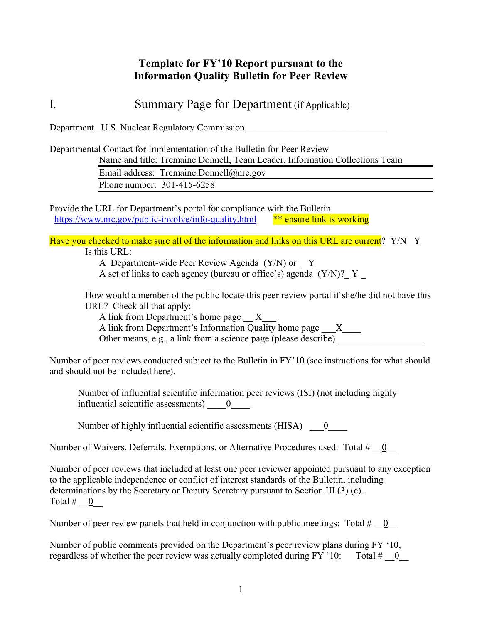## **Template for FY'10 Report pursuant to the Information Quality Bulletin for Peer Review**

I*.* Summary Page for Department (if Applicable)

Department U.S. Nuclear Regulatory Commission

Departmental Contact for Implementation of the Bulletin for Peer Review

Name and title: Tremaine Donnell, Team Leader, Information Collections Team

Email address: Tremaine.Donnell@nrc.gov Phone number: 301-415-6258

Provide the URL for Department's portal for compliance with the Bulletin https://www.nrc.gov/public-involve/info-quality.html \*\* ensure link is working

Have you checked to make sure all of the information and links on this URL are current?  $Y/N \ Y$ Is this URL:

A Department-wide Peer Review Agenda (Y/N) or Y

A set of links to each agency (bureau or office's) agenda  $(Y/N)$ ? Y

How would a member of the public locate this peer review portal if she/he did not have this URL? Check all that apply:

A link from Department's home page X

A link from Department's Information Quality home page  $\frac{X}{X}$ 

Other means, e.g., a link from a science page (please describe)

Number of peer reviews conducted subject to the Bulletin in FY'10 (see instructions for what should and should not be included here).

Number of influential scientific information peer reviews (ISI) (not including highly influential scientific assessments)  $\qquad 0$ 

Number of highly influential scientific assessments (HISA)  $\qquad 0$ 

Number of Waivers, Deferrals, Exemptions, or Alternative Procedures used: Total #  $\pm$  0

Number of peer reviews that included at least one peer reviewer appointed pursuant to any exception to the applicable independence or conflict of interest standards of the Bulletin, including determinations by the Secretary or Deputy Secretary pursuant to Section III (3) (c). Total  $\#$  0

Number of peer review panels that held in conjunction with public meetings: Total  $\#$  = 0

Number of public comments provided on the Department's peer review plans during FY '10, regardless of whether the peer review was actually completed during FY  $^{\circ}10$ : Total  $\#$  0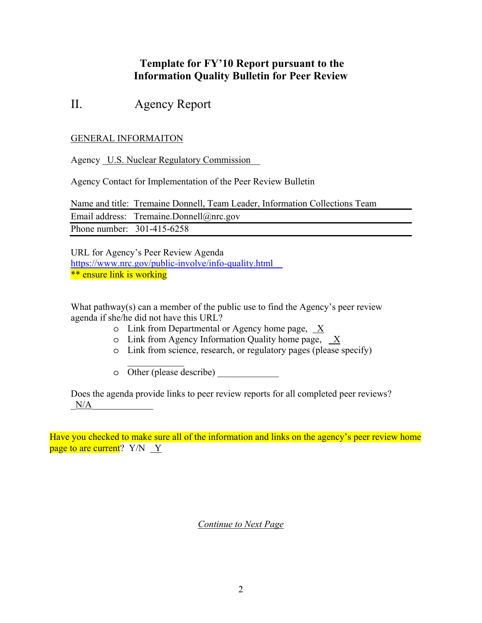## **Template for FY'10 Report pursuant to the Information Quality Bulletin for Peer Review**

# II. Agency Report

### GENERAL INFORMAITON

Agency U.S. Nuclear Regulatory Commission

Agency Contact for Implementation of the Peer Review Bulletin

Name and title: Tremaine Donnell, Team Leader, Information Collections Team Email address: Tremaine.Donnell@nrc.gov Phone number: 301-415-6258

URL for Agency's Peer Review Agenda https://www.nrc.gov/public-involve/info-quality.html\_\_ \*\* ensure link is working

What pathway(s) can a member of the public use to find the Agency's peer review agenda if she/he did not have this URL?

- o Link from Departmental or Agency home page, X
- o Link from Agency Information Quality home page, X
- o Link from science, research, or regulatory pages (please specify)
- o Other (please describe) \_\_\_\_\_\_\_\_\_\_\_\_\_

 $\frac{1}{2}$ 

Does the agenda provide links to peer review reports for all completed peer reviews?  $N/A$ 

Have you checked to make sure all of the information and links on the agency's peer review home page to are current?  $Y/N \ Y$ 

*Continue to Next Page*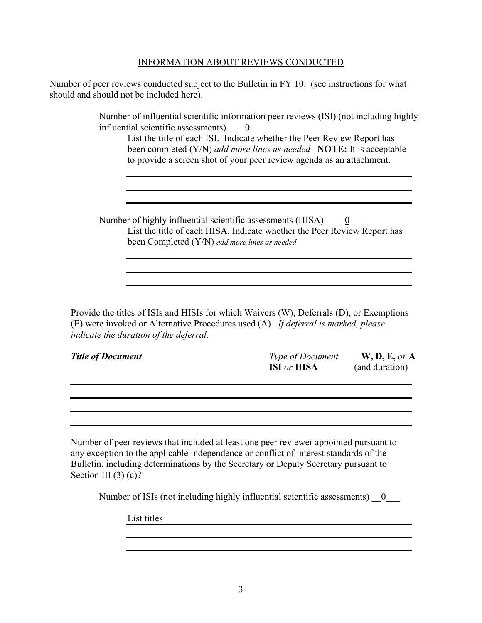#### INFORMATION ABOUT REVIEWS CONDUCTED

Number of peer reviews conducted subject to the Bulletin in FY 10. (see instructions for what should and should not be included here).

> Number of influential scientific information peer reviews (ISI) (not including highly influential scientific assessments)  $\qquad 0$

List the title of each ISI. Indicate whether the Peer Review Report has been completed (Y/N) *add more lines as needed* **NOTE:** It is acceptable to provide a screen shot of your peer review agenda as an attachment.

Number of highly influential scientific assessments (HISA)  $\qquad \underline{0}$ List the title of each HISA. Indicate whether the Peer Review Report has been Completed (Y/N) *add more lines as needed*

Provide the titles of ISIs and HISIs for which Waivers (W), Deferrals (D), or Exemptions (E) were invoked or Alternative Procedures used (A). *If deferral is marked, please indicate the duration of the deferral.*

| <b>Title of Document</b> | <i>Type of Document</i>   | W, D, E, or A  |
|--------------------------|---------------------------|----------------|
|                          | <b>ISI</b> or <b>HISA</b> | (and duration) |

Number of peer reviews that included at least one peer reviewer appointed pursuant to any exception to the applicable independence or conflict of interest standards of the Bulletin, including determinations by the Secretary or Deputy Secretary pursuant to Section III (3) (c)?

Number of ISIs (not including highly influential scientific assessments)  $\qquad 0$ 

List titles